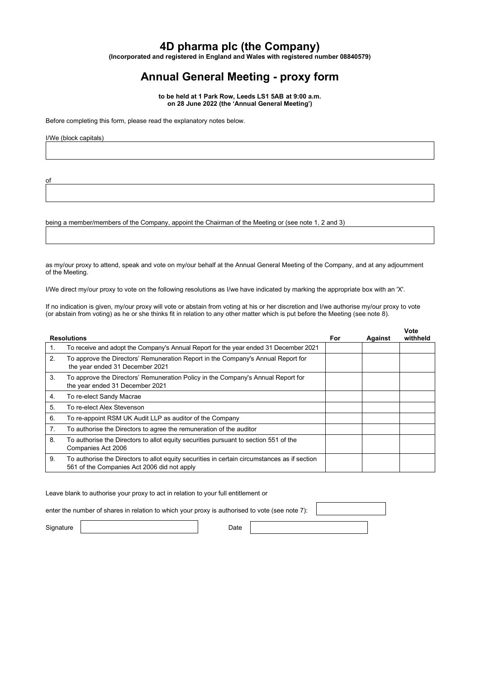## **4D pharma plc (the Company)**

**(Incorporated and registered in England and Wales with registered number 08840579)**

## **Annual General Meeting - proxy form**

**to be held at 1 Park Row, Leeds LS1 5AB at 9:00 a.m. on 28 June 2022 (the 'Annual General Meeting')**

Before completing this form, please read the explanatory notes below.

I/We (block capitals)

of

being a member/members of the Company, appoint the Chairman of the Meeting or (see note 1, 2 and 3)

as my/our proxy to attend, speak and vote on my/our behalf at the Annual General Meeting of the Company, and at any adjournment of the Meeting.

I/We direct my/our proxy to vote on the following resolutions as I/we have indicated by marking the appropriate box with an 'X'.

If no indication is given, my/our proxy will vote or abstain from voting at his or her discretion and I/we authorise my/our proxy to vote (or abstain from voting) as he or she thinks fit in relation to any other matter which is put before the Meeting (see note 8).

| <b>Resolutions</b> |                                                                                                                                             | For | Against | Vote<br>withheld |
|--------------------|---------------------------------------------------------------------------------------------------------------------------------------------|-----|---------|------------------|
| 1.                 | To receive and adopt the Company's Annual Report for the year ended 31 December 2021                                                        |     |         |                  |
| 2.                 | To approve the Directors' Remuneration Report in the Company's Annual Report for<br>the year ended 31 December 2021                         |     |         |                  |
| 3.                 | To approve the Directors' Remuneration Policy in the Company's Annual Report for<br>the year ended 31 December 2021                         |     |         |                  |
| 4.                 | To re-elect Sandy Macrae                                                                                                                    |     |         |                  |
| 5.                 | To re-elect Alex Stevenson                                                                                                                  |     |         |                  |
| 6.                 | To re-appoint RSM UK Audit LLP as auditor of the Company                                                                                    |     |         |                  |
| 7.                 | To authorise the Directors to agree the remuneration of the auditor                                                                         |     |         |                  |
| 8.                 | To authorise the Directors to allot equity securities pursuant to section 551 of the<br>Companies Act 2006                                  |     |         |                  |
| 9.                 | To authorise the Directors to allot equity securities in certain circumstances as if section<br>561 of the Companies Act 2006 did not apply |     |         |                  |

Leave blank to authorise your proxy to act in relation to your full entitlement or

enter the number of shares in relation to which your proxy is authorised to vote (see note 7):

Signature | Date